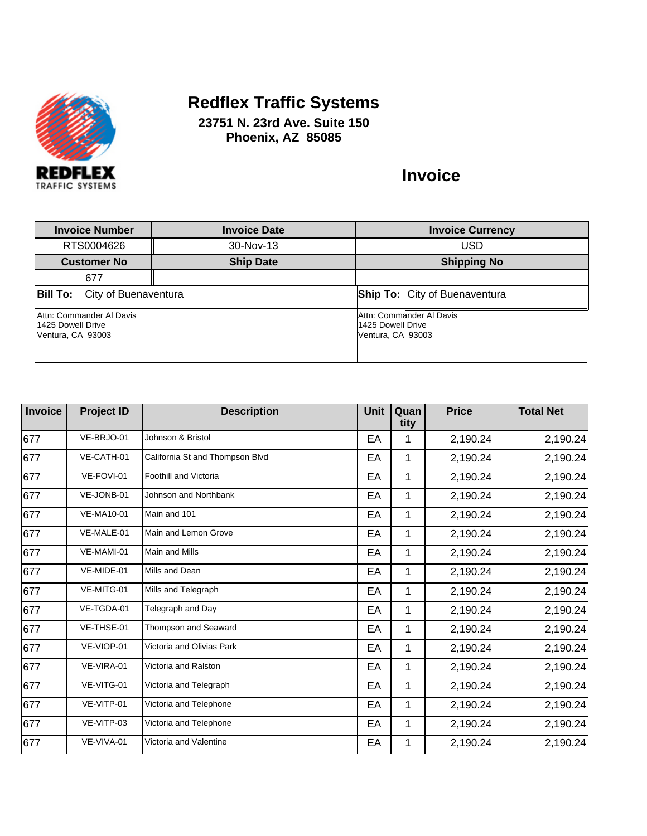

**23751 N. 23rd Ave. Suite 150 Phoenix, AZ 85085**

| <b>Invoice Number</b>                                              | <b>Invoice Date</b> | <b>Invoice Currency</b>                                                   |
|--------------------------------------------------------------------|---------------------|---------------------------------------------------------------------------|
| RTS0004626                                                         | 30-Nov-13           | <b>USD</b>                                                                |
| <b>Customer No</b>                                                 | <b>Ship Date</b>    | <b>Shipping No</b>                                                        |
| 677                                                                |                     |                                                                           |
| <b>Bill To:</b> City of Buenaventura                               |                     | <b>Ship To:</b> City of Buenaventura                                      |
| Attn: Commander Al Davis<br>1425 Dowell Drive<br>Ventura, CA 93003 |                     | Attn: Commander Al Davis<br><b>1425 Dowell Drive</b><br>Ventura, CA 93003 |

| Invoice | <b>Project ID</b> | <b>Description</b>              | <b>Unit</b> | Quan<br>tity | <b>Price</b> | <b>Total Net</b> |
|---------|-------------------|---------------------------------|-------------|--------------|--------------|------------------|
| 677     | VE-BRJO-01        | Johnson & Bristol               | EA          | 1            | 2,190.24     | 2,190.24         |
| 677     | VE-CATH-01        | California St and Thompson Blvd | EA          | 1            | 2,190.24     | 2,190.24         |
| 677     | VE-FOVI-01        | Foothill and Victoria           | EA          | 1            | 2,190.24     | 2,190.24         |
| 677     | VE-JONB-01        | Johnson and Northbank           | EA          | 1            | 2,190.24     | 2,190.24         |
| 677     | <b>VE-MA10-01</b> | Main and 101                    | EA          | 1            | 2,190.24     | 2,190.24         |
| 677     | VE-MALE-01        | Main and Lemon Grove            | EA          | 1            | 2,190.24     | 2,190.24         |
| 677     | VE-MAMI-01        | <b>Main and Mills</b>           | EA          | 1            | 2,190.24     | 2,190.24         |
| 677     | VE-MIDE-01        | Mills and Dean                  | EA          | 1            | 2,190.24     | 2,190.24         |
| 677     | VE-MITG-01        | Mills and Telegraph             | EA          | 1            | 2,190.24     | 2,190.24         |
| 677     | VE-TGDA-01        | Telegraph and Day               | EA          | 1            | 2,190.24     | 2,190.24         |
| 677     | VE-THSE-01        | Thompson and Seaward            | EA          | 1            | 2,190.24     | 2,190.24         |
| 677     | VE-VIOP-01        | Victoria and Olivias Park       | EA          | 1            | 2,190.24     | 2,190.24         |
| 677     | VE-VIRA-01        | Victoria and Ralston            | EA          | 1            | 2,190.24     | 2,190.24         |
| 677     | VE-VITG-01        | Victoria and Telegraph          | EA          | 1            | 2,190.24     | 2,190.24         |
| 677     | VE-VITP-01        | Victoria and Telephone          | EA          | 1            | 2,190.24     | 2,190.24         |
| 677     | VE-VITP-03        | Victoria and Telephone          | EA          | 1            | 2,190.24     | 2,190.24         |
| 677     | VE-VIVA-01        | Victoria and Valentine          | EA          | 1            | 2,190.24     | 2,190.24         |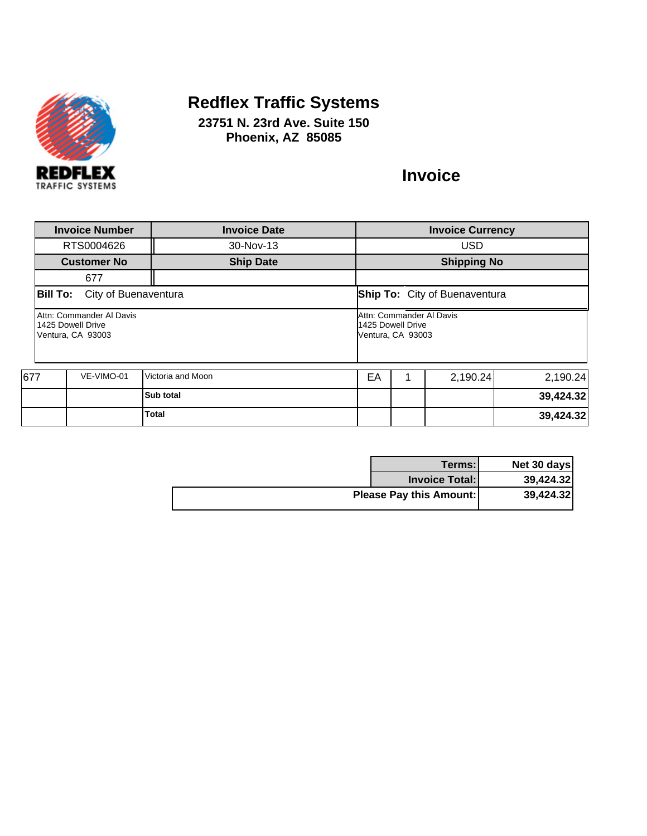

**23751 N. 23rd Ave. Suite 150 Phoenix, AZ 85085**

|                                      |                                                                    | <b>Invoice Number</b> |                   | <b>Invoice Date</b>                                                       |  | <b>Invoice Currency</b> |   |          |  |           |
|--------------------------------------|--------------------------------------------------------------------|-----------------------|-------------------|---------------------------------------------------------------------------|--|-------------------------|---|----------|--|-----------|
|                                      |                                                                    | RTS0004626            |                   | 30-Nov-13                                                                 |  | <b>USD</b>              |   |          |  |           |
|                                      |                                                                    | <b>Customer No</b>    |                   | <b>Ship Date</b>                                                          |  | <b>Shipping No</b>      |   |          |  |           |
|                                      |                                                                    | 677                   |                   |                                                                           |  |                         |   |          |  |           |
| <b>Bill To:</b> City of Buenaventura |                                                                    |                       |                   | <b>Ship To:</b> City of Buenaventura                                      |  |                         |   |          |  |           |
|                                      | Attn: Commander Al Davis<br>1425 Dowell Drive<br>Ventura, CA 93003 |                       |                   | Attn: Commander Al Davis<br><b>1425 Dowell Drive</b><br>Ventura, CA 93003 |  |                         |   |          |  |           |
| 677                                  |                                                                    | VE-VIMO-01            | Victoria and Moon |                                                                           |  | EA                      | 1 | 2,190.24 |  | 2,190.24  |
|                                      |                                                                    |                       | Sub total         |                                                                           |  |                         |   |          |  | 39,424.32 |
|                                      |                                                                    |                       | Total             |                                                                           |  |                         |   |          |  | 39,424.32 |

| Terms:                         | Net 30 days |
|--------------------------------|-------------|
| <b>Invoice Total:</b>          | 39,424.32   |
| <b>Please Pay this Amount:</b> | 39,424.32   |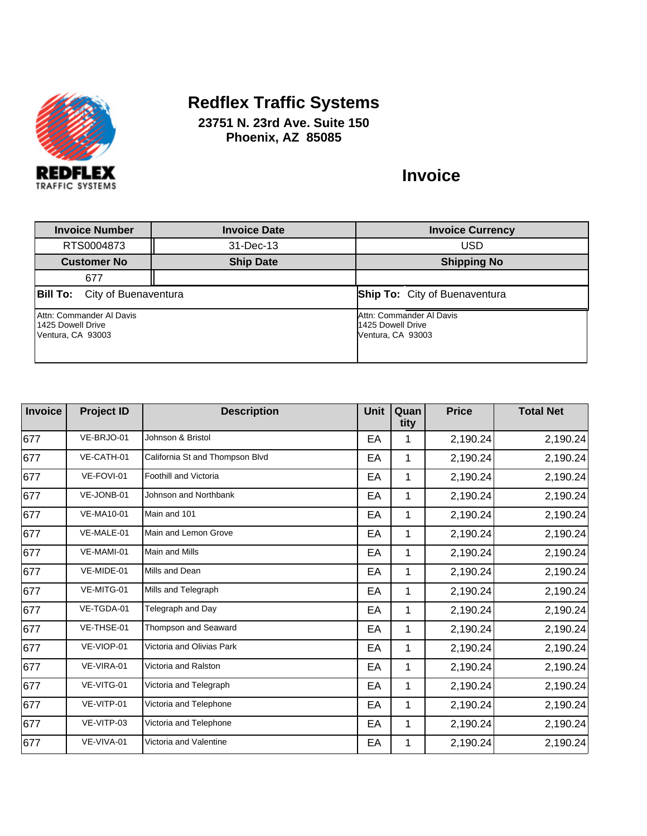

**23751 N. 23rd Ave. Suite 150 Phoenix, AZ 85085**

| <b>Invoice Number</b>                                              | <b>Invoice Date</b> | <b>Invoice Currency</b>                                                   |
|--------------------------------------------------------------------|---------------------|---------------------------------------------------------------------------|
| RTS0004873                                                         | 31-Dec-13           | <b>USD</b>                                                                |
| <b>Customer No</b>                                                 | <b>Ship Date</b>    | <b>Shipping No</b>                                                        |
| 677                                                                |                     |                                                                           |
| <b>Bill To:</b> City of Buenaventura                               |                     | <b>Ship To:</b> City of Buenaventura                                      |
| Attn: Commander Al Davis<br>1425 Dowell Drive<br>Ventura, CA 93003 |                     | Attn: Commander Al Davis<br><b>1425 Dowell Drive</b><br>Ventura, CA 93003 |

| Invoice | <b>Project ID</b> | <b>Description</b>              | Unit | Quan<br>tity | <b>Price</b> | <b>Total Net</b> |
|---------|-------------------|---------------------------------|------|--------------|--------------|------------------|
| 677     | VE-BRJO-01        | Johnson & Bristol               | EA   | 1            | 2,190.24     | 2,190.24         |
| 677     | VE-CATH-01        | California St and Thompson Blvd | EA   | 1            | 2,190.24     | 2,190.24         |
| 677     | VE-FOVI-01        | Foothill and Victoria           | EA   | 1            | 2,190.24     | 2,190.24         |
| 677     | VE-JONB-01        | Johnson and Northbank           | EA   | 1            | 2,190.24     | 2,190.24         |
| 677     | <b>VE-MA10-01</b> | Main and 101                    | EA   | 1            | 2,190.24     | 2,190.24         |
| 677     | VE-MALE-01        | Main and Lemon Grove            | EA   | 1            | 2,190.24     | 2,190.24         |
| 677     | VE-MAMI-01        | Main and Mills                  | EA   | 1            | 2,190.24     | 2,190.24         |
| 677     | VE-MIDE-01        | Mills and Dean                  | EA   | 1            | 2,190.24     | 2,190.24         |
| 677     | VE-MITG-01        | Mills and Telegraph             | EA   | 1            | 2,190.24     | 2,190.24         |
| 677     | VE-TGDA-01        | Telegraph and Day               | EA   | 1            | 2,190.24     | 2,190.24         |
| 677     | VE-THSE-01        | Thompson and Seaward            | EA   | 1            | 2,190.24     | 2,190.24         |
| 677     | VE-VIOP-01        | Victoria and Olivias Park       | EA   | 1            | 2,190.24     | 2,190.24         |
| 677     | VE-VIRA-01        | Victoria and Ralston            | EA   | 1            | 2,190.24     | 2,190.24         |
| 677     | VE-VITG-01        | Victoria and Telegraph          | EA   | 1            | 2,190.24     | 2,190.24         |
| 677     | VE-VITP-01        | Victoria and Telephone          | EA   | 1            | 2,190.24     | 2,190.24         |
| 677     | VE-VITP-03        | Victoria and Telephone          | EA   | 1            | 2,190.24     | 2,190.24         |
| 677     | VE-VIVA-01        | Victoria and Valentine          | EA   | 1            | 2,190.24     | 2,190.24         |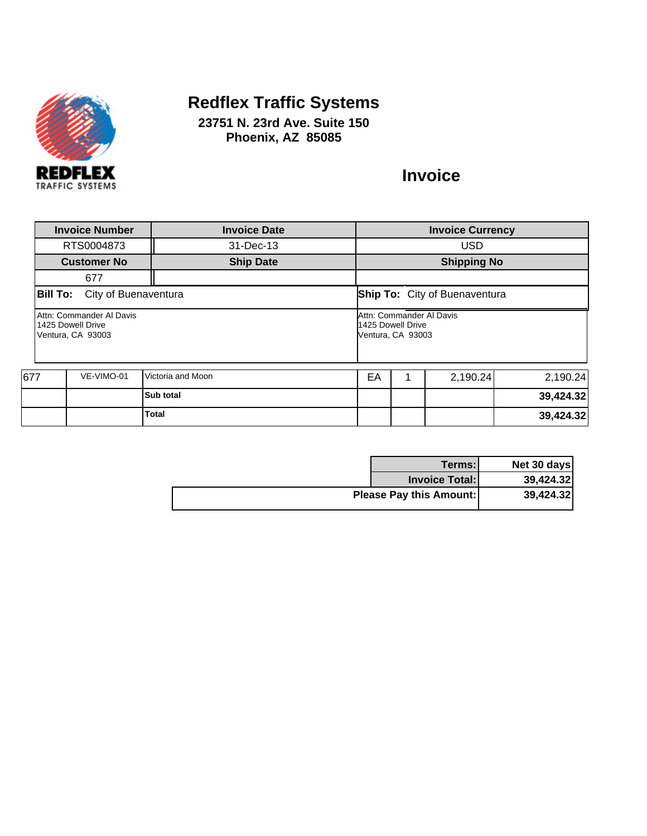

**23751 N. 23rd Ave. Suite 150 Phoenix, AZ 85085**

|     |                                                                    | <b>Invoice Number</b>                |                                               | <b>Invoice Date</b> | <b>Invoice Currency</b>  |   |                                      |           |  |
|-----|--------------------------------------------------------------------|--------------------------------------|-----------------------------------------------|---------------------|--------------------------|---|--------------------------------------|-----------|--|
|     |                                                                    | RTS0004873                           |                                               | 31-Dec-13           | <b>USD</b>               |   |                                      |           |  |
|     |                                                                    | <b>Customer No</b>                   |                                               | <b>Ship Date</b>    | <b>Shipping No</b>       |   |                                      |           |  |
|     |                                                                    | 677                                  |                                               |                     |                          |   |                                      |           |  |
|     |                                                                    | <b>Bill To:</b> City of Buenaventura |                                               |                     |                          |   | <b>Ship To:</b> City of Buenaventura |           |  |
|     | Attn: Commander Al Davis<br>1425 Dowell Drive<br>Ventura, CA 93003 |                                      | <b>1425 Dowell Drive</b><br>Ventura, CA 93003 |                     | Attn: Commander Al Davis |   |                                      |           |  |
| 677 |                                                                    | VE-VIMO-01                           | Victoria and Moon                             |                     | EA                       | 1 | 2,190.24                             | 2,190.24  |  |
|     |                                                                    |                                      | Sub total                                     |                     |                          |   |                                      | 39,424.32 |  |
|     |                                                                    |                                      | Total                                         |                     |                          |   |                                      | 39,424.32 |  |

| Terms:                         | Net 30 days |
|--------------------------------|-------------|
| <b>Invoice Total:</b>          | 39,424.32   |
| <b>Please Pay this Amount:</b> | 39,424.32   |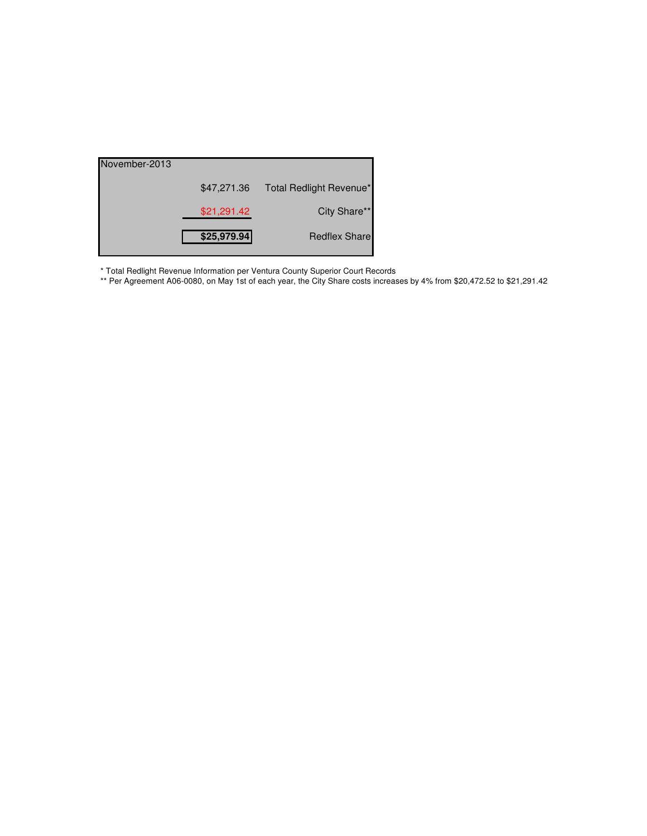| November-2013 |             |                         |
|---------------|-------------|-------------------------|
|               | \$47,271.36 | Total Redlight Revenue* |
|               | \$21,291.42 | City Share**            |
|               | \$25,979.94 | <b>Redflex Share</b>    |

\* Total Redlight Revenue Information per Ventura County Superior Court Records

\*\* Per Agreement A06-0080, on May 1st of each year, the City Share costs increases by 4% from \$20,472.52 to \$21,291.42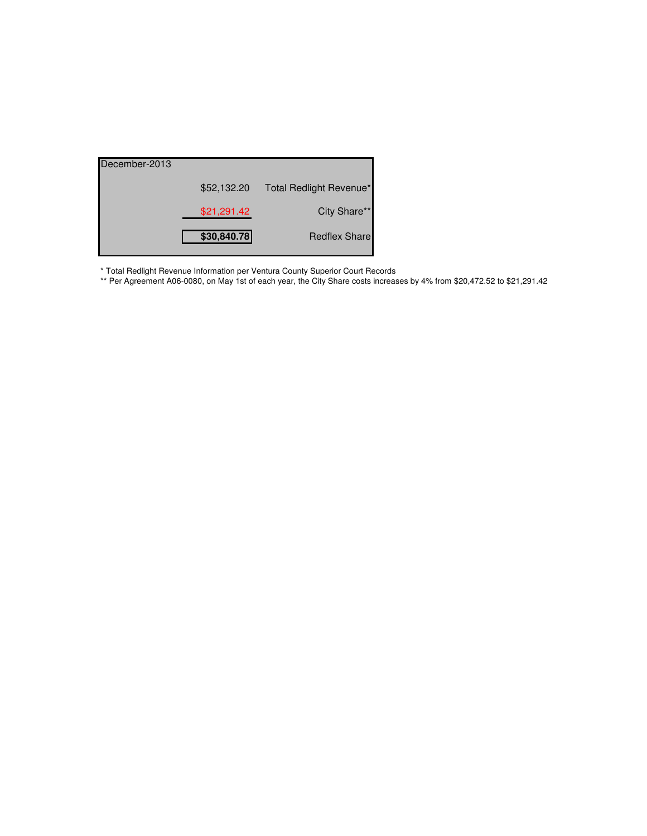| December-2013 |             |                         |
|---------------|-------------|-------------------------|
|               | \$52,132.20 | Total Redlight Revenue* |
|               | \$21,291.42 | City Share**            |
|               | \$30,840.78 | <b>Redflex Share</b>    |

\* Total Redlight Revenue Information per Ventura County Superior Court Records

\*\* Per Agreement A06-0080, on May 1st of each year, the City Share costs increases by 4% from \$20,472.52 to \$21,291.42